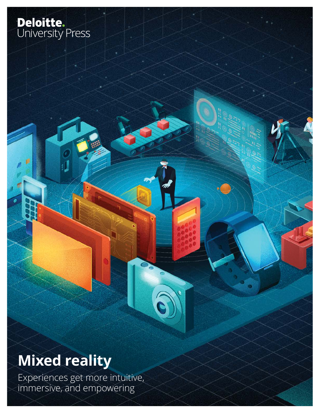# **Deloitte.**<br>University Press

# **Mixed reality**

Experiences get more intuitive, immersive, and empowering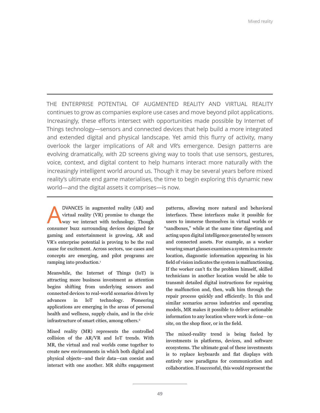THE ENTERPRISE POTENTIAL OF AUGMENTED REALITY AND VIRTUAL REALITY continues to grow as companies explore use cases and move beyond pilot applications. Increasingly, these efforts intersect with opportunities made possible by Internet of Things technology—sensors and connected devices that help build a more integrated and extended digital and physical landscape. Yet amid this flurry of activity, many overlook the larger implications of AR and VR's emergence. Design patterns are evolving dramatically, with 2D screens giving way to tools that use sensors, gestures, voice, context, and digital content to help humans interact more naturally with the increasingly intelligent world around us. Though it may be several years before mixed reality's ultimate end game materialises, the time to begin exploring this dynamic new world—and the digital assets it comprises—is now.

DVANCES in augmented reality (AR) and<br>virtual reality (VR) promise to change the<br>way we interact with technology. Though virtual reality (VR) promise to change the way we interact with technology. Though consumer buzz surrounding devices designed for gaming and entertainment is growing, AR and VR's enterprise potential is proving to be the real cause for excitement. Across sectors, use cases and concepts are emerging, and pilot programs are ramping into production.<sup>1</sup>

Meanwhile, the Internet of Things (IoT) is attracting more business investment as attention begins shifting from underlying sensors and connected devices to real-world scenarios driven by advances in IoT technology. Pioneering applications are emerging in the areas of personal health and wellness, supply chain, and in the civic infrastructure of smart cities, among others.<sup>2</sup>

Mixed reality (MR) represents the controlled collision of the AR/VR and IoT trends. With MR, the virtual and real worlds come together to create new environments in which both digital and physical objects—and their data—can coexist and interact with one another. MR shifts engagement

patterns, allowing more natural and behavioral interfaces. These interfaces make it possible for users to immerse themselves in virtual worlds or "sandboxes," while at the same time digesting and acting upon digital intelligence generated by sensors and connected assets. For example, as a worker wearing smart glasses examines a system in a remote location, diagnostic information appearing in his field of vision indicates the system is malfunctioning. If the worker can't fix the problem himself, skilled technicians in another location would be able to transmit detailed digital instructions for repairing the malfunction and, then, walk him through the repair process quickly and efficiently. In this and similar scenarios across industries and operating models, MR makes it possible to deliver actionable information to any location where work is done—on site, on the shop floor, or in the field.

The mixed-reality trend is being fueled by investments in platforms, devices, and software ecosystems. The ultimate goal of these investments is to replace keyboards and flat displays with entirely new paradigms for communication and collaboration. If successful, this would represent the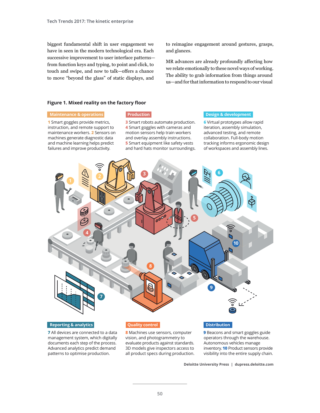biggest fundamental shift in user engagement we have in seen in the modern technological era. Each successive improvement to user interface patterns from function keys and typing, to point and click, to touch and swipe, and now to talk—offers a chance to move "beyond the glass" of static displays, and

to reimagine engagement around gestures, grasps, and glances.

MR advances are already profoundly affecting how we relate emotionally to these novel ways of working. The ability to grab information from things around us—and for that information to respond to our visual

#### **Figure 1. Mixed reality on the factory floor**

#### **Maintenance & operations**

**1** Smart goggles provide metrics, instruction, and remote support to maintenance workers. **2** Sensors on machines generate diagnostic data and machine learning helps predict failures and improve productivity.

#### **Production**

**3** Smart robots automate production. **4** Smart goggles with cameras and motion sensors help train workers and overlay assembly instructions. **5** Smart equipment like safety vests and hard hats monitor surroundings.

#### **Design & development**

**6** Virtual prototypes allow rapid iteration, assembly simulation, advanced testing, and remote collaboration. Full-body motion tracking informs ergonomic design of workspaces and assembly lines.



**7** All devices are connected to a data management system, which digitally documents each step of the process. Advanced analytics predict demand patterns to optimise production.

**8** Machines use sensors, computer vision, and photogrammetry to evaluate products against standards. 3D models give inspectors access to all product specs during production.

**9** Beacons and smart goggles guide operators through the warehouse. Autonomous vehicles manage inventory. **10** Product sensors provide visibility into the entire supply chain.

 **Deloitte University Press | dupress.deloitte.com**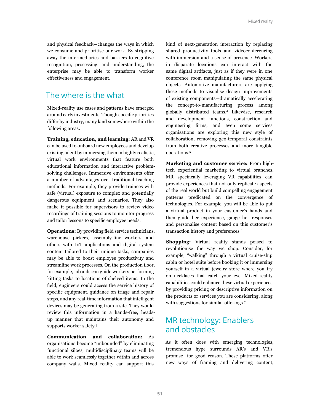and physical feedback—changes the ways in which we consume and prioritise our work. By stripping away the intermediaries and barriers to cognitive recognition, processing, and understanding, the enterprise may be able to transform worker effectiveness and engagement.

#### The where is the what

Mixed-reality use cases and patterns have emerged around early investments. Though specific priorities differ by industry, many land somewhere within the following areas:

**Training, education, and learning:** AR and VR can be used to onboard new employees and develop existing talent by immersing them in highly realistic, virtual work environments that feature both educational information and interactive problemsolving challenges. Immersive environments offer a number of advantages over traditional teaching methods. For example, they provide trainees with safe (virtual) exposure to complex and potentially dangerous equipment and scenarios. They also make it possible for supervisors to review video recordings of training sessions to monitor progress and tailor lessons to specific employee needs.

**Operations:** By providing field service technicians, warehouse pickers, assembly-line workers, and others with IoT applications and digital system content tailored to their unique tasks, companies may be able to boost employee productivity and streamline work processes. On the production floor, for example, job aids can guide workers performing kitting tasks to locations of shelved items. In the field, engineers could access the service history of specific equipment, guidance on triage and repair steps, and any real-time information that intelligent devices may be generating from a site. They would review this information in a hands-free, headsup manner that maintains their autonomy and supports worker safety.3

**Communication and collaboration:** As organisations become "unbounded" by eliminating functional siloes, multidisciplinary teams will be able to work seamlessly together within and across company walls. Mixed reality can support this kind of next-generation interaction by replacing shared productivity tools and videoconferencing with immersion and a sense of presence. Workers in disparate locations can interact with the same digital artifacts, just as if they were in one conference room manipulating the same physical objects. Automotive manufacturers are applying these methods to visualise design improvements of existing components—dramatically accelerating the concept-to-manufacturing process among globally distributed teams.4 Likewise, research and development functions, construction and engineering firms, and even some services organisations are exploring this new style of collaboration, removing geo-temporal constraints from both creative processes and more tangible operations.5

**Marketing and customer service:** From hightech experiential marketing to virtual branches, MR—specifically leveraging VR capabilities—can provide experiences that not only replicate aspects of the real world but build compelling engagement patterns predicated on the convergence of technologies. For example, you will be able to put a virtual product in your customer's hands and then guide her experience, gauge her responses, and personalise content based on this customer's transaction history and preferences.<sup>6</sup>

**Shopping:** Virtual reality stands poised to revolutionise the way we shop. Consider, for example, "walking" through a virtual cruise-ship cabin or hotel suite before booking it or immersing yourself in a virtual jewelry store where you try on necklaces that catch your eye. Mixed-reality capabilities could enhance these virtual experiences by providing pricing or descriptive information on the products or services you are considering, along with suggestions for similar offerings.<sup>7</sup>

#### MR technology: Enablers and obstacles

As it often does with emerging technologies, tremendous hype surrounds AR's and VR's promise—for good reason. These platforms offer new ways of framing and delivering content,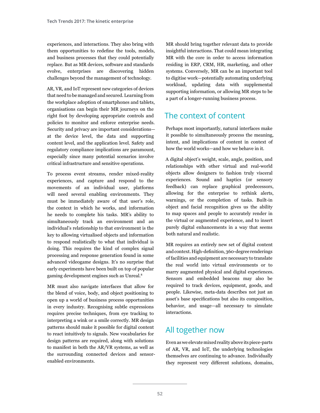experiences, and interactions. They also bring with them opportunities to redefine the tools, models, and business processes that they could potentially replace. But as MR devices, software and standards evolve, enterprises are discovering hidden challenges beyond the management of technology.

AR, VR, and IoT represent new categories of devices that need to be managed and secured. Learning from the workplace adoption of smartphones and tablets, organisations can begin their MR journeys on the right foot by developing appropriate controls and policies to monitor and enforce enterprise needs. Security and privacy are important considerations at the device level, the data and supporting content level, and the application level. Safety and regulatory compliance implications are paramount, especially since many potential scenarios involve critical infrastructure and sensitive operations.

To process event streams, render mixed-reality experiences, and capture and respond to the movements of an individual user, platforms will need several enabling environments. They must be immediately aware of that user's role, the context in which he works, and information he needs to complete his tasks. MR's ability to simultaneously track an environment and an individual's relationship to that environment is the key to allowing virtualised objects and information to respond realistically to what that individual is doing. This requires the kind of complex signal processing and response generation found in some advanced videogame designs. It's no surprise that early experiments have been built on top of popular gaming development engines such as Unreal.8

MR must also navigate interfaces that allow for the blend of voice, body, and object positioning to open up a world of business process opportunities in every industry. Recognising subtle expressions requires precise techniques, from eye tracking to interpreting a wink or a smile correctly. MR design patterns should make it possible for digital content to react intuitively to signals. New vocabularies for design patterns are required, along with solutions to manifest in both the AR/VR systems, as well as the surrounding connected devices and sensorenabled environments.

MR should bring together relevant data to provide insightful interactions. That could mean integrating MR with the core in order to access information residing in ERP, CRM, HR, marketing, and other systems. Conversely, MR can be an important tool to digitise work—potentially automating underlying workload, updating data with supplemental supporting information, or allowing MR steps to be a part of a longer-running business process.

### The context of content

Perhaps most importantly, natural interfaces make it possible to simultaneously process the meaning, intent, and implications of content in context of how the world works—and how we behave in it.

A digital object's weight, scale, angle, position, and relationships with other virtual and real-world objects allow designers to fashion truly visceral experiences. Sound and haptics (or sensory feedback) can replace graphical predecessors, allowing for the enterprise to rethink alerts, warnings, or the completion of tasks. Built-in object and facial recognition gives us the ability to map spaces and people to accurately render in the virtual or augmented experience, and to insert purely digital enhancements in a way that seems both natural and realistic.

MR requires an entirely new set of digital content and context. High-definition, 360-degree renderings of facilities and equipment are necessary to translate the real world into virtual environments or to marry augmented physical and digital experiences. Sensors and embedded beacons may also be required to track devices, equipment, goods, and people. Likewise, meta-data describes not just an asset's base specifications but also its composition, behavior, and usage—all necessary to simulate interactions.

#### All together now

Even as we elevate mixed reality above its piece-parts of AR, VR, and IoT, the underlying technologies themselves are continuing to advance. Individually they represent very different solutions, domains,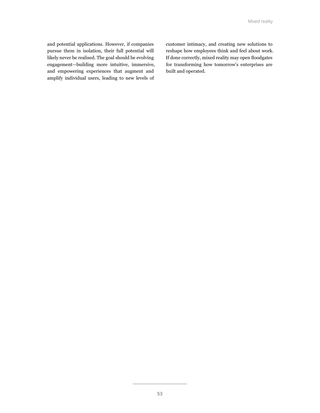and potential applications. However, if companies pursue them in isolation, their full potential will likely never be realised. The goal should be evolving engagement—building more intuitive, immersive, and empowering experiences that augment and amplify individual users, leading to new levels of

customer intimacy, and creating new solutions to reshape how employees think and feel about work. If done correctly, mixed reality may open floodgates for transforming how tomorrow's enterprises are built and operated.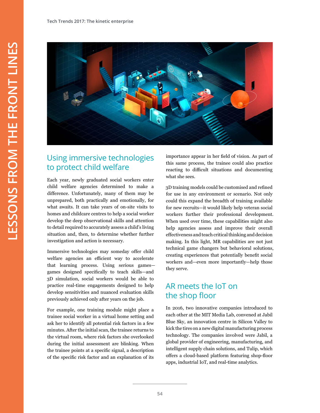

#### Using immersive technologies to protect child welfare

Each year, newly graduated social workers enter child welfare agencies determined to make a difference. Unfortunately, many of them may be unprepared, both practically and emotionally, for what awaits. It can take years of on-site visits to homes and childcare centres to help a social worker develop the deep observational skills and attention to detail required to accurately assess a child's living situation and, then, to determine whether further investigation and action is necessary.

Immersive technologies may someday offer child welfare agencies an efficient way to accelerate that learning process. Using serious games games designed specifically to teach skills—and 3D simulation, social workers would be able to practice real-time engagements designed to help develop sensitivities and nuanced evaluation skills previously achieved only after years on the job.

For example, one training module might place a trainee social worker in a virtual home setting and ask her to identify all potential risk factors in a few minutes. After the initial scan, the trainee returns to the virtual room, where risk factors she overlooked during the initial assessment are blinking. When the trainee points at a specific signal, a description of the specific risk factor and an explanation of its

importance appear in her field of vision. As part of this same process, the trainee could also practice reacting to difficult situations and documenting what she sees.

3D training models could be customised and refined for use in any environment or scenario. Not only could this expand the breadth of training available for new recruits—it would likely help veteran social workers further their professional development. When used over time, these capabilities might also help agencies assess and improve their overall effectiveness and teach critical thinking and decision making. In this light, MR capabilities are not just technical game changers but behavioral solutions, creating experiences that potentially benefit social workers and—even more importantly—help those they serve.

#### AR meets the IoT on the shop floor

In 2016, two innovative companies introduced to each other at the MIT Media Lab, convened at Jabil Blue Sky, an innovation centre in Silicon Valley to kick the tires on a new digital manufacturing process technology. The companies involved were Jabil, a global provider of engineering, manufacturing, and intelligent supply chain solutions, and Tulip, which offers a cloud-based platform featuring shop-floor apps, industrial IoT, and real-time analytics.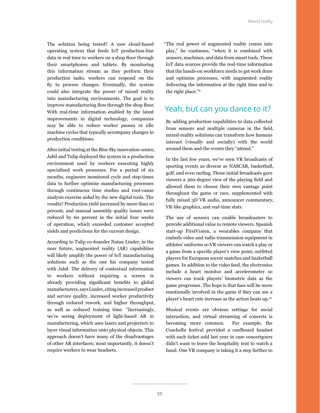The solution being tested? A new cloud-based operating system that feeds IoT production-line data in real time to workers on a shop floor through their smartphones and tablets. By monitoring this information stream as they perform their production tasks, workers can respond on the fly to process changes. Eventually, the system could also integrate the power of mixed reality into manufacturing environments. The goal is to improve manufacturing flow through the shop floor. With real-time information enabled by the latest improvements in digital technology, companies may be able to reduce worker pauses or idle machine cycles that typically accompany changes in production conditions.

After initial testing at the Blue Sky innovation centre, Jabil and Tulip deployed the system in a production environment used by workers executing highly specialised work processes. For a period of six months, engineers monitored cycle and step-times data to further optimise manufacturing processes through continuous time studies and root-cause analysis exercise aided by the new digital tools. The results? Production yield increased by more than 10 percent, and manual assembly quality issues were reduced by 60 percent in the initial four weeks of operation, which exceeded customer accepted yields and predictions for the current design.

According to Tulip co-founder Natan Linder, in the near future, augmented reality (AR) capabilities will likely amplify the power of IoT manufacturing solutions such as the one his company tested with Jabil. The delivery of contextual information to workers without requiring a screen is already providing significant benefits to global manufacturers, says Linder, citing increased product and service quality, increased worker productivity through reduced rework, and higher throughput, as well as reduced training time. "Increasingly, we're seeing deployment of light-based AR in manufacturing, which uses lasers and projectors to layer visual information onto physical objects. This approach doesn't have many of the disadvantages of other AR interfaces; most importantly, it doesn't require workers to wear headsets.

"The real power of augmented reality comes into play," he continues, "when it is combined with sensors, machines, and data from smart tools. These IoT data sources provide the real-time information that the hands-on workforce needs to get work done and optimise processes, with augmented reality delivering the information at the right time and in the right place."9

#### Yeah, but can you dance to it?

By adding production capabilities to data collected from sensors and multiple cameras in the field, mixed-reality solutions can transform how humans interact (visually and socially) with the world around them and the events they "attend."

In the last few years, we've seen VR broadcasts of sporting events as diverse as NASCAR, basketball, golf, and even surfing. Those initial broadcasts gave viewers a 360-degree view of the playing field and allowed them to choose their own vantage point throughout the game or race, supplemented with fully mixed 3D VR audio, announcer commentary, VR-like graphics, and real-time stats.

The use of sensors can enable broadcasters to provide additional value to remote viewers. Spanish start-up FirstV1sion, a wearables company that embeds video and radio transmission equipment in athletes' uniforms so VR viewers can watch a play or a game from a specific player's view point, outfitted players for European soccer matches and basketball games. In addition to the video feed, the electronics include a heart monitor and accelerometer so viewers can track players' biometric data as the game progresses. The hope is that fans will be more emotionally involved in the game if they can see a player's heart rate increase as the action heats up.<sup>10</sup>

Musical events are obvious settings for social interaction, and virtual streaming of concerts is becoming more common. For example, the Coachella festival provided a cardboard headset with each ticket sold last year in case concertgoers didn't want to leave the hospitality tent to watch a band. One VR company is taking it a step further to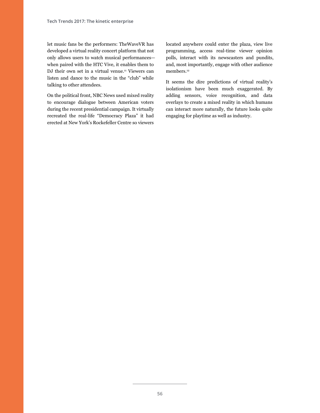let music fans be the performers: TheWaveVR has developed a virtual reality concert platform that not only allows users to watch musical performances when paired with the HTC Vive, it enables them to DJ their own set in a virtual venue.<sup>11</sup> Viewers can listen and dance to the music in the "club" while talking to other attendees.

On the political front, NBC News used mixed reality to encourage dialogue between American voters during the recent presidential campaign. It virtually recreated the real-life "Democracy Plaza" it had erected at New York's Rockefeller Centre so viewers

located anywhere could enter the plaza, view live programming, access real-time viewer opinion polls, interact with its newscasters and pundits, and, most importantly, engage with other audience members.<sup>12</sup>

It seems the dire predictions of virtual reality's isolationism have been much exaggerated. By adding sensors, voice recognition, and data overlays to create a mixed reality in which humans can interact more naturally, the future looks quite engaging for playtime as well as industry.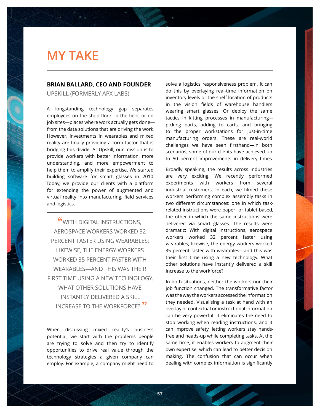# **MY TAKE**

#### **BRIAN BALLARD, CEO AND FOUNDER**

**Tech Trends 2017** The kinetic enterprise Series title / Magazine title / Document Subtitle - style "header-subtitle"

UPSKILL (FORMERLY APX LABS)

A longstanding technology gap separates employees on the shop floor, in the field, or on job sites—places where work actually gets done from the data solutions that are driving the work. However, investments in wearables and mixed reality are finally providing a form factor that is bridging this divide. At Upskill, our mission is to provide workers with better information, more understanding, and more empowerment to help them to amplify their expertise. We started building software for smart glasses in 2010. Today, we provide our clients with a platform for extending the power of augmented and virtual reality into manufacturing, field services, and logistics.

**"**WITH DIGITAL INSTRUCTIONS, AEROSPACE WORKERS WORKED 32 PERCENT FASTER USING WEARABLES; LIKEWISE, THE ENERGY WORKERS WORKED 35 PERCENT FASTER WITH WEARABLES—AND THIS WAS THEIR FIRST TIME USING A NEW TECHNOLOGY. WHAT OTHER SOLUTIONS HAVE INSTANTLY DELIVERED A SKILL INCREASE TO THE WORKFORCE? **"**

When discussing mixed reality's business potential, we start with the problems people are trying to solve and then try to identify opportunities to drive real value through the technology strategies a given company can employ. For example, a company might need to

solve a logistics responsiveness problem. It can do this by overlaying real-time information on inventory levels or the shelf location of products in the vision fields of warehouse handlers wearing smart glasses. Or deploy the same tactics in kitting processes in manufacturing picking parts, adding to carts, and bringing to the proper workstations for just-in-time manufacturing orders. These are real-world challenges we have seen firsthand—in both scenarios, some of our clients have achieved up to 50 percent improvements in delivery times.

Broadly speaking, the results across industries are very exciting. We recently performed experiments with workers from several industrial customers. In each, we filmed these workers performing complex assembly tasks in two different circumstances: one in which taskrelated instructions were paper- or tablet-based, the other in which the same instructions were delivered via smart glasses. The results were dramatic: With digital instructions, aerospace workers worked 32 percent faster using wearables; likewise, the energy workers worked 35 percent faster with wearables—and this was their first time using a new technology. What other solutions have instantly delivered a skill increase to the workforce?

In both situations, neither the workers nor their job function changed. The transformative factor was the way the workers accessed the information they needed. Visualising a task at hand with an overlay of contextual or instructional information can be very powerful. It eliminates the need to stop working when reading instructions, and it can improve safety, letting workers stay handsfree and heads-up while completing tasks. At the same time, it enables workers to augment their own expertise, which can lead to better decision making. The confusion that can occur when dealing with complex information is significantly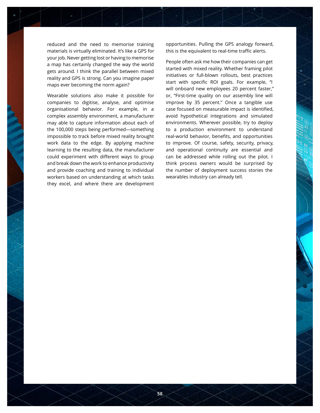reduced and the need to memorise training materials is virtually eliminated. It's like a GPS for your job. Never getting lost or having to memorise a map has certainly changed the way the world gets around. I think the parallel between mixed reality and GPS is strong. Can you imagine paper maps ever becoming the norm again? a map has certainly changed the way the world<br>gets around. I think the parallel between mixed<br>reality and GPS is strong. Can you imagine paper

Wearable solutions also make it possible for wearable solutions also make it possible for<br>companies to digitise, analyse, and optimise companies to digitise, andryse, and opermise<br>organisational behavior. For example, in a complex assembly environment, a manufacturer may able to capture information about each of the 100,000 steps being performed—something impossible to track before mixed reality brought work data to the edge. By applying machine learning to the resulting data, the manufacturer could experiment with different ways to group and break down the work to enhance productivity and provide coaching and training to individual workers based on understanding at which tasks they excel, and where there are development

opportunities. Pulling the GPS analogy forward, this is the equivalent to real-time traffic alerts.

People often ask me how their companies can get reopie often ask me now their companies can get<br>started with mixed reality. Whether framing pilot atarted with rinked reality. Whether harming plictions in the marking pliction  $\frac{1}{2}$  and  $\frac{1}{2}$  re-design. At the orientation  $\frac{1}{2}$  are  $\frac{1}{2}$  are  $\frac{1}{2}$  are  $\frac{1}{2}$ start with specific ROI goals. For example, "I providing it back to the system, upskilling into will onboard new employees 20 percent faster," or, rinst three quality on our assembly line will<br>improve by 35 percent." Once a tangible use or, "First-time quality on our assembly line will case focused on measurable impact is identified, avoid hypothetical integrations and simulated environments. Wherever possible, try to deploy to a production environment to understand real-world behavior, benefits, and opportunities to improve. Of course, safety, security, privacy, and operational continuity are essential and can be addressed while rolling out the pilot. I think process owners would be surprised by the number of deployment success stories the wearables industry can already tell.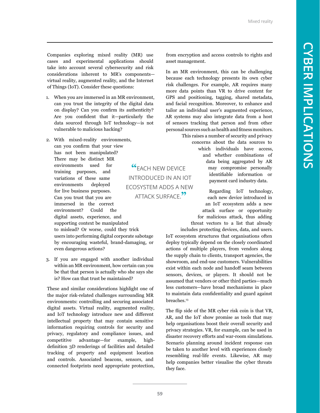Companies exploring mixed reality (MR) use cases and experimental applications should take into account several cybersecurity and risk considerations inherent to MR's components virtual reality, augmented reality, and the Internet of Things (IoT). Consider these questions:

- 1. When you are immersed in an MR environment, can you trust the integrity of the digital data on display? Can you confirm its authenticity? Are you confident that it—particularly the data sourced through IoT technology—is not vulnerable to malicious hacking?
- 2. With mixed-reality environments, can you confirm that your view has not been manipulated? There may be distinct MR environments used for training purposes, and variations of these same environments deployed for live business purposes. Can you trust that you are immersed in the correct environment? Could the digital assets, experience, and supporting context be manipulated to mislead? Or worse, could they trick users into performing digital corporate sabotage by encouraging wasteful, brand-damaging, or even dangerous actions? **"**EACH NEW DEVICE INTRODUCED IN AN IOT ECOSYSTEM ADDS A NEW ATTACK SURFACE.**"**
- 3. If you are engaged with another individual within an MR environment, how certain can you be that that person is actually who she says she is? How can that trust be maintained?

These and similar considerations highlight one of the major risk-related challenges surrounding MR environments: controlling and securing associated digital assets. Virtual reality, augmented reality, and IoT technology introduce new and different intellectual property that may contain sensitive information requiring controls for security and privacy, regulatory and compliance issues, and competitive advantage—for example, highdefinition 3D renderings of facilities and detailed tracking of property and equipment location and controls. Associated beacons, sensors, and connected footprints need appropriate protection, from encryption and access controls to rights and asset management.

In an MR environment, this can be challenging because each technology presents its own cyber risk challenges. For example, AR requires many more data points than VR to drive content for GPS and positioning, tagging, shared metadata, and facial recognition. Moreover, to enhance and tailor an individual user's augmented experience, AR systems may also integrate data from a host of sensors tracking that person and from other personal sources such as health and fitness monitors.

> This raises a number of security and privacy concerns about the data sources to which individuals have access, and whether combinations of data being aggregated by AR may compromise personally identifiable information or payment card industry data.

> > Regarding IoT technology, each new device introduced in an IoT ecosystem adds a new attack surface or opportunity for malicious attack, thus adding threat vectors to a list that already

includes protecting devices, data, and users. IoT ecosystem structures that organisations often deploy typically depend on the closely coordinated actions of multiple players, from vendors along the supply chain to clients, transport agencies, the showroom, and end-use customers. Vulnerabilities exist within each node and handoff seam between sensors, devices, or players. It should not be assumed that vendors or other third parties—much less customers—have broad mechanisms in place to maintain data confidentiality and guard against breaches.<sup>13</sup>

The flip side of the MR cyber risk coin is that VR, AR, and the IoT show promise as tools that may help organisations boost their overall security and privacy strategies. VR, for example, can be used in disaster recovery efforts and war-room simulations. Scenario planning around incident response can be taken to another level with experiences closely resembling real-life events. Likewise, AR may help companies better visualise the cyber threats they face.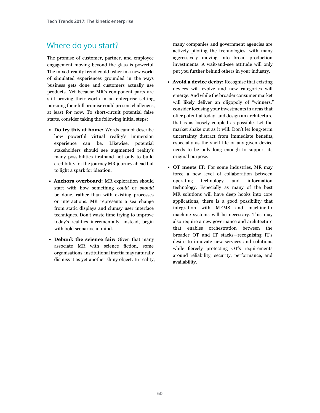### Where do you start?

The promise of customer, partner, and employee engagement moving beyond the glass is powerful. The mixed-reality trend could usher in a new world of simulated experiences grounded in the ways business gets done and customers actually use products. Yet because MR's component parts are still proving their worth in an enterprise setting, pursuing their full promise could present challenges, at least for now. To short-circuit potential false starts, consider taking the following initial steps:

- **• Do try this at home:** Words cannot describe how powerful virtual reality's immersion experience can be. Likewise, potential stakeholders should see augmented reality's many possibilities firsthand not only to build credibility for the journey MR journey ahead but to light a spark for ideation.
- **• Anchors overboard:** MR exploration should start with how something *could* or *should* be done, rather than with existing processes or interactions. MR represents a sea change from static displays and clumsy user interface techniques. Don't waste time trying to improve today's realities incrementally—instead, begin with bold scenarios in mind.
- **• Debunk the science fair:** Given that many associate MR with science fiction, some organisations' institutional inertia may naturally dismiss it as yet another shiny object. In reality,

many companies and government agencies are actively piloting the technologies, with many aggressively moving into broad production investments. A wait-and-see attitude will only put you further behind others in your industry.

- **• Avoid a device derby:** Recognise that existing devices will evolve and new categories will emerge. And while the broader consumer market will likely deliver an oligopoly of "winners," consider focusing your investments in areas that offer potential today, and design an architecture that is as loosely coupled as possible. Let the market shake out as it will. Don't let long-term uncertainty distract from immediate benefits, especially as the shelf life of any given device needs to be only long enough to support its original purpose.
- **• OT meets IT:** For some industries, MR may force a new level of collaboration between operating technology and information technology. Especially as many of the best MR solutions will have deep hooks into core applications, there is a good possibility that integration with MEMS and machine-tomachine systems will be necessary. This may also require a new governance and architecture that enables orchestration between the broader OT and IT stacks—recognising IT's desire to innovate new services and solutions, while fiercely protecting OT's requirements around reliability, security, performance, and availability.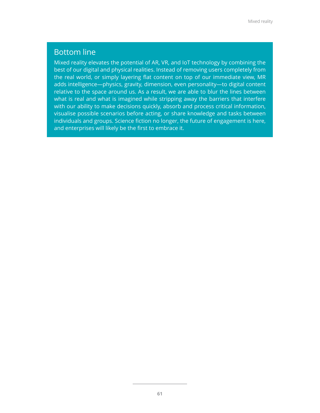#### Bottom line

Mixed reality elevates the potential of AR, VR, and IoT technology by combining the best of our digital and physical realities. Instead of removing users completely from the real world, or simply layering flat content on top of our immediate view, MR adds intelligence—physics, gravity, dimension, even personality—to digital content relative to the space around us. As a result, we are able to blur the lines between what is real and what is imagined while stripping away the barriers that interfere with our ability to make decisions quickly, absorb and process critical information, visualise possible scenarios before acting, or share knowledge and tasks between individuals and groups. Science fiction no longer, the future of engagement is here, and enterprises will likely be the first to embrace it.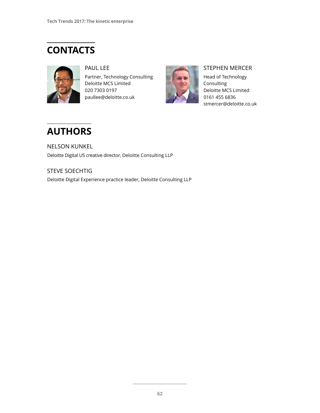# **CONTACTS**



#### PAUL LEE

Partner, Technology Consulting Deloitte MCS Limited 020 7303 0197 paullee@deloitte.co.uk



#### STEPHEN MERCER

Head of Technology **Consulting** Deloitte MCS Limited 0161 455 6836 stmercer@deloitte.co.uk

## **AUTHORS**

NELSON KUNKEL Deloitte Digital US creative director, Deloitte Consulting LLP

STEVE SOECHTIG Deloitte Digital Experience practice leader, Deloitte Consulting LLP